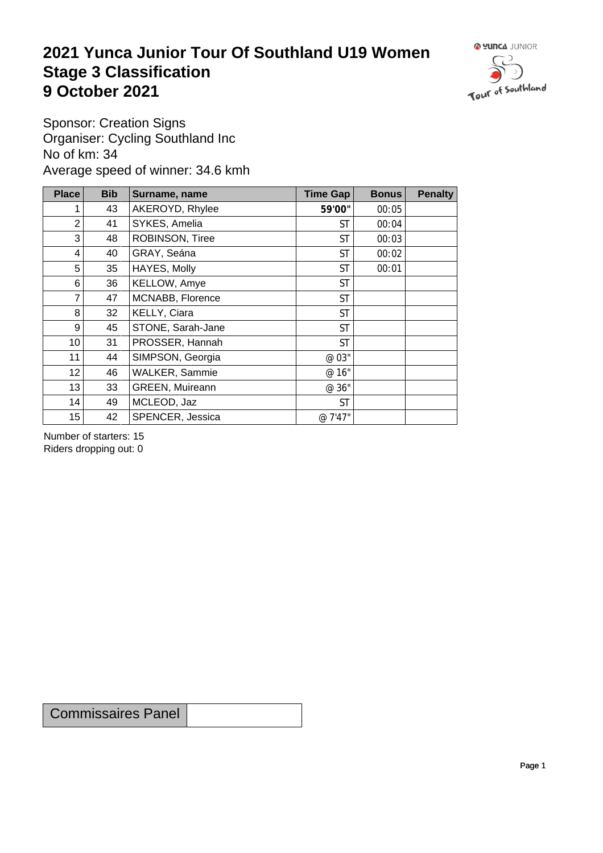## **2021 Yunca Junior Tour Of Southland U19 Women** Stage 3 Classification<br>9 October 2021 **9 October 2021**



Sponsor: Creation Signs Organiser: Cycling Southland Inc No of km: 34 Average speed of winner: 34.6 kmh

| <b>Place</b>    | <b>Bib</b>      | Surname, name     | Time Gap  | <b>Bonus</b> | <b>Penalty</b> |
|-----------------|-----------------|-------------------|-----------|--------------|----------------|
|                 | 43              | AKEROYD, Rhylee   | 59'00"    | 00:05        |                |
| 2               | 41              | SYKES, Amelia     | <b>ST</b> | 00:04        |                |
| 3               | 48              | ROBINSON, Tiree   | <b>ST</b> | 00:03        |                |
| 4               | 40              | GRAY, Seána       | <b>ST</b> | 00:02        |                |
| 5               | 35              | HAYES, Molly      | <b>ST</b> | 00:01        |                |
| 6               | 36              | KELLOW, Amye      | <b>ST</b> |              |                |
| $\overline{7}$  | 47              | MCNABB, Florence  | <b>ST</b> |              |                |
| 8               | 32 <sup>2</sup> | KELLY, Ciara      | <b>ST</b> |              |                |
| 9               | 45              | STONE, Sarah-Jane | <b>ST</b> |              |                |
| 10 <sup>1</sup> | 31              | PROSSER, Hannah   | <b>ST</b> |              |                |
| 11              | 44              | SIMPSON, Georgia  | @ 03"     |              |                |
| 12              | 46              | WALKER, Sammie    | @ 16"     |              |                |
| 13              | 33              | GREEN, Muireann   | @ 36"     |              |                |
| 14              | 49              | MCLEOD, Jaz       | <b>ST</b> |              |                |
| 15              | 42              | SPENCER, Jessica  | @ 7'47"   |              |                |

Number of starters: 15 Riders dropping out: 0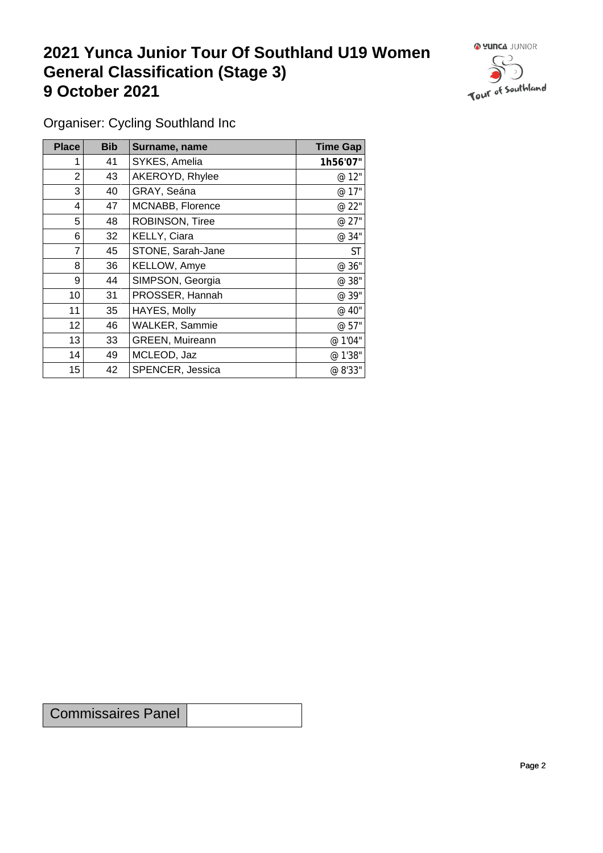## **2021 Yunca Junior Tour Of Southland U19 Women General Classification (Stage 3)**<br> **9 October 2021 9 October 2021**



Organiser: Cycling Southland Inc

| <b>Place</b>    | <b>Bib</b> | Surname, name     | <b>Time Gap</b> |
|-----------------|------------|-------------------|-----------------|
|                 | 41         | SYKES, Amelia     | 1h56'07"        |
| $\overline{2}$  | 43         | AKEROYD, Rhylee   | @ 12"           |
| 3               | 40         | GRAY, Seána       | @ 17"           |
| 4               | 47         | MCNABB, Florence  | @ 22"           |
| 5               | 48         | ROBINSON, Tiree   | @ 27"           |
| 6               | 32         | KELLY, Ciara      | @ 34"           |
| $\overline{7}$  | 45         | STONE, Sarah-Jane | <b>ST</b>       |
| 8               | 36         | KELLOW, Amye      | @ 36"           |
| 9               | 44         | SIMPSON, Georgia  | @ 38"           |
| 10 <sup>1</sup> | 31         | PROSSER, Hannah   | @ 39"           |
| 11              | 35         | HAYES, Molly      | @ 40"           |
| 12              | 46         | WALKER, Sammie    | @ 57"           |
| 13              | 33         | GREEN, Muireann   | @ 1'04"         |
| 14              | 49         | MCLEOD, Jaz       | @ 1'38"         |
| 15              | 42         | SPENCER, Jessica  | @ 8'33"         |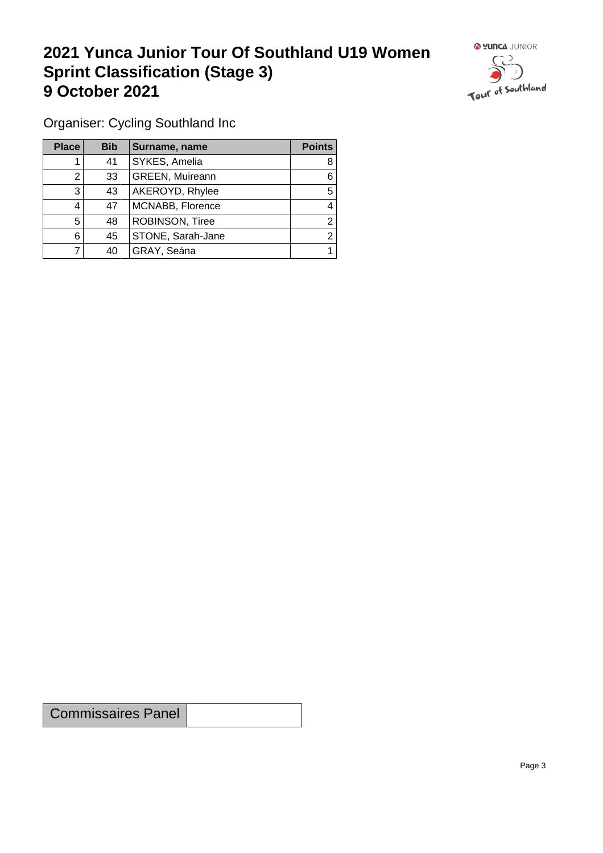## **2021 Yunca Junior Tour Of Southland U19 Women Sprint Classification (Stage 3) 9 October 2021 19 October 2021**



Organiser: Cycling Southland Inc

| Place | <b>Bib</b> | Surname, name          | <b>Points</b> |
|-------|------------|------------------------|---------------|
|       | 41         | SYKES, Amelia          | 8             |
|       | 33         | <b>GREEN, Muireann</b> | 6             |
| 3     | 43         | AKEROYD, Rhylee        | 5             |
|       | 47         | MCNABB, Florence       | 4             |
| 5     | 48         | ROBINSON, Tiree        | ◠             |
| 6     | 45         | STONE, Sarah-Jane      | ◠             |
|       | 40         | GRAY, Seána            |               |